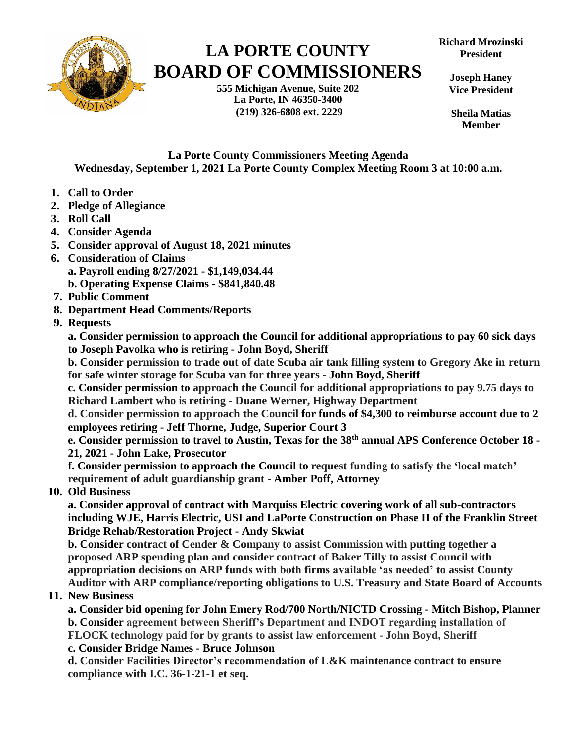

## **LA PORTE COUNTY BOARD OF COMMISSIONERS**

**555 Michigan Avenue, Suite 202 La Porte, IN 46350-3400 (219) 326-6808 ext. 2229**

**Joseph Haney Vice President**

**Sheila Matias Member**

**La Porte County Commissioners Meeting Agenda Wednesday, September 1, 2021 La Porte County Complex Meeting Room 3 at 10:00 a.m.**

- **1. Call to Order**
- **2. Pledge of Allegiance**
- **3. Roll Call**
- **4. Consider Agenda**
- **5. Consider approval of August 18, 2021 minutes**
- **6. Consideration of Claims a. Payroll ending 8/27/2021 - \$1,149,034.44 b. Operating Expense Claims - \$841,840.48**
- **7. Public Comment**
- **8. Department Head Comments/Reports**
- **9. Requests**

**a. Consider permission to approach the Council for additional appropriations to pay 60 sick days to Joseph Pavolka who is retiring - John Boyd, Sheriff**

**b. Consider permission to trade out of date Scuba air tank filling system to Gregory Ake in return for safe winter storage for Scuba van for three years - John Boyd, Sheriff**

**c. Consider permission to approach the Council for additional appropriations to pay 9.75 days to Richard Lambert who is retiring - Duane Werner, Highway Department**

**d. Consider permission to approach the Council for funds of \$4,300 to reimburse account due to 2 employees retiring - Jeff Thorne, Judge, Superior Court 3**

**e. Consider permission to travel to Austin, Texas for the 38th annual APS Conference October 18 - 21, 2021 - John Lake, Prosecutor**

**f. Consider permission to approach the Council to request funding to satisfy the 'local match' requirement of adult guardianship grant - Amber Poff, Attorney**

 **10. Old Business**

**a. Consider approval of contract with Marquiss Electric covering work of all sub-contractors including WJE, Harris Electric, USI and LaPorte Construction on Phase II of the Franklin Street Bridge Rehab/Restoration Project - Andy Skwiat**

**b. Consider contract of Cender & Company to assist Commission with putting together a proposed ARP spending plan and consider contract of Baker Tilly to assist Council with appropriation decisions on ARP funds with both firms available 'as needed' to assist County Auditor with ARP compliance/reporting obligations to U.S. Treasury and State Board of Accounts**

## **11. New Business**

**a. Consider bid opening for John Emery Rod/700 North/NICTD Crossing - Mitch Bishop, Planner b. Consider agreement between Sheriff's Department and INDOT regarding installation of FLOCK technology paid for by grants to assist law enforcement - John Boyd, Sheriff**

**c. Consider Bridge Names - Bruce Johnson**

**d. Consider Facilities Director's recommendation of L&K maintenance contract to ensure compliance with I.C. 36-1-21-1 et seq.**